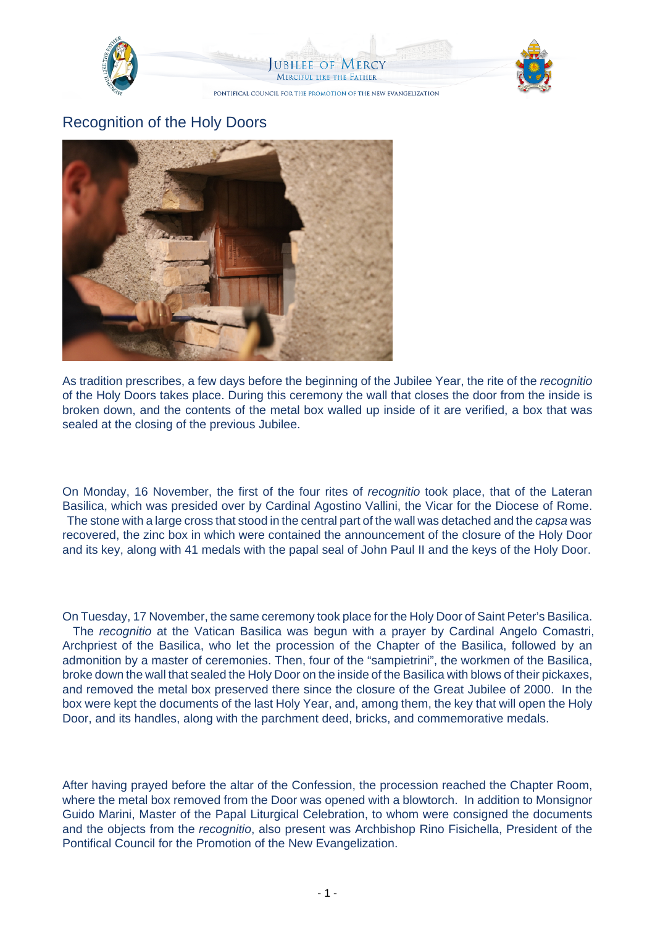

## Recognition of the Holy Doors



As tradition prescribes, a few days before the beginning of the Jubilee Year, the rite of the recognitio of the Holy Doors takes place. During this ceremony the wall that closes the door from the inside is broken down, and the contents of the metal box walled up inside of it are verified, a box that was sealed at the closing of the previous Jubilee.

On Monday, 16 November, the first of the four rites of recognitio took place, that of the Lateran Basilica, which was presided over by Cardinal Agostino Vallini, the Vicar for the Diocese of Rome. The stone with a large cross that stood in the central part of the wall was detached and the capsa was recovered, the zinc box in which were contained the announcement of the closure of the Holy Door and its key, along with 41 medals with the papal seal of John Paul II and the keys of the Holy Door.

On Tuesday, 17 November, the same ceremony took place for the Holy Door of Saint Peter's Basilica. The recognitio at the Vatican Basilica was begun with a prayer by Cardinal Angelo Comastri, Archpriest of the Basilica, who let the procession of the Chapter of the Basilica, followed by an admonition by a master of ceremonies. Then, four of the "sampietrini", the workmen of the Basilica, broke down the wall that sealed the Holy Door on the inside of the Basilica with blows of their pickaxes, and removed the metal box preserved there since the closure of the Great Jubilee of 2000. In the box were kept the documents of the last Holy Year, and, among them, the key that will open the Holy Door, and its handles, along with the parchment deed, bricks, and commemorative medals.

After having prayed before the altar of the Confession, the procession reached the Chapter Room, where the metal box removed from the Door was opened with a blowtorch. In addition to Monsignor Guido Marini, Master of the Papal Liturgical Celebration, to whom were consigned the documents and the objects from the recognitio, also present was Archbishop Rino Fisichella, President of the Pontifical Council for the Promotion of the New Evangelization.